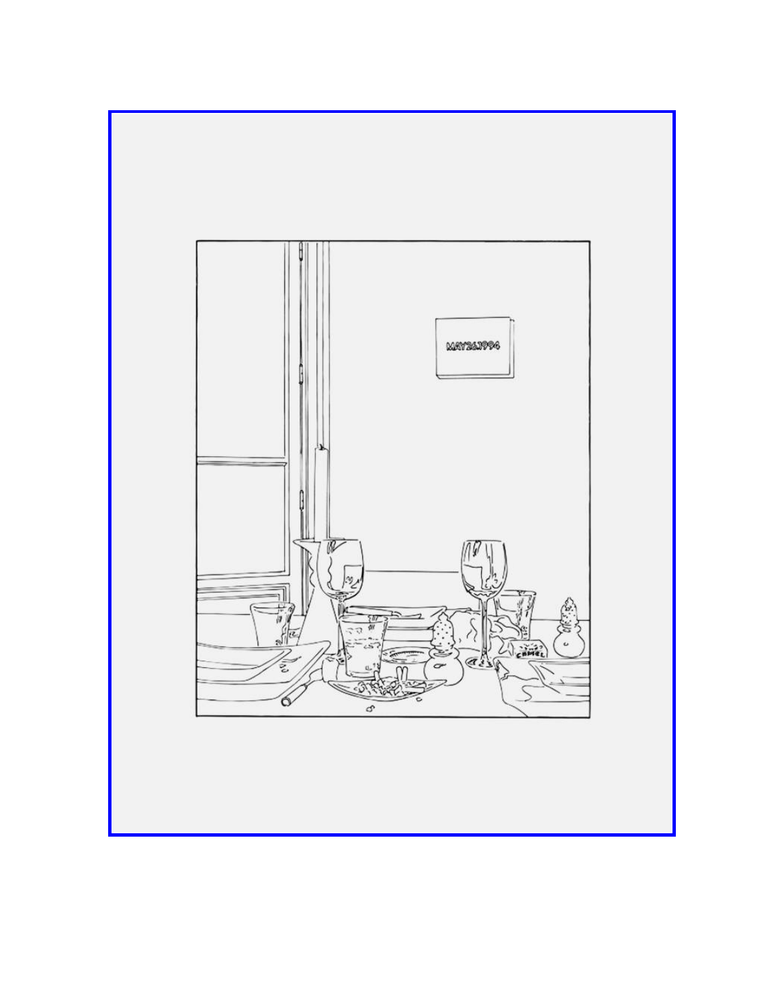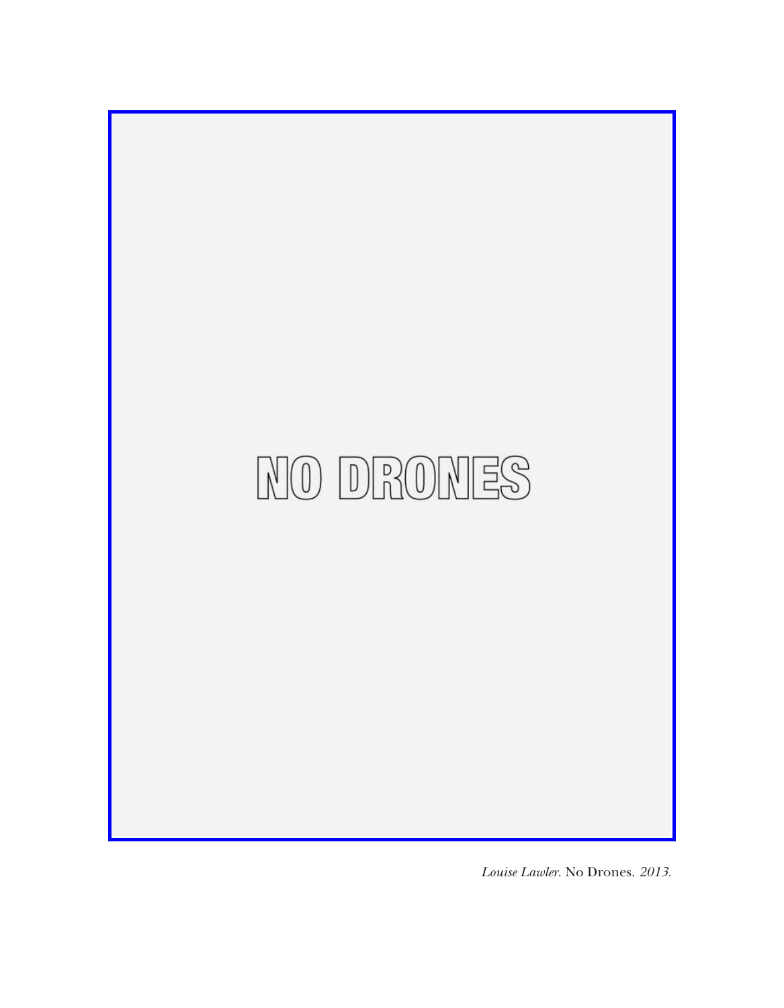

*Louise Lawler.* No Drones. *2013.*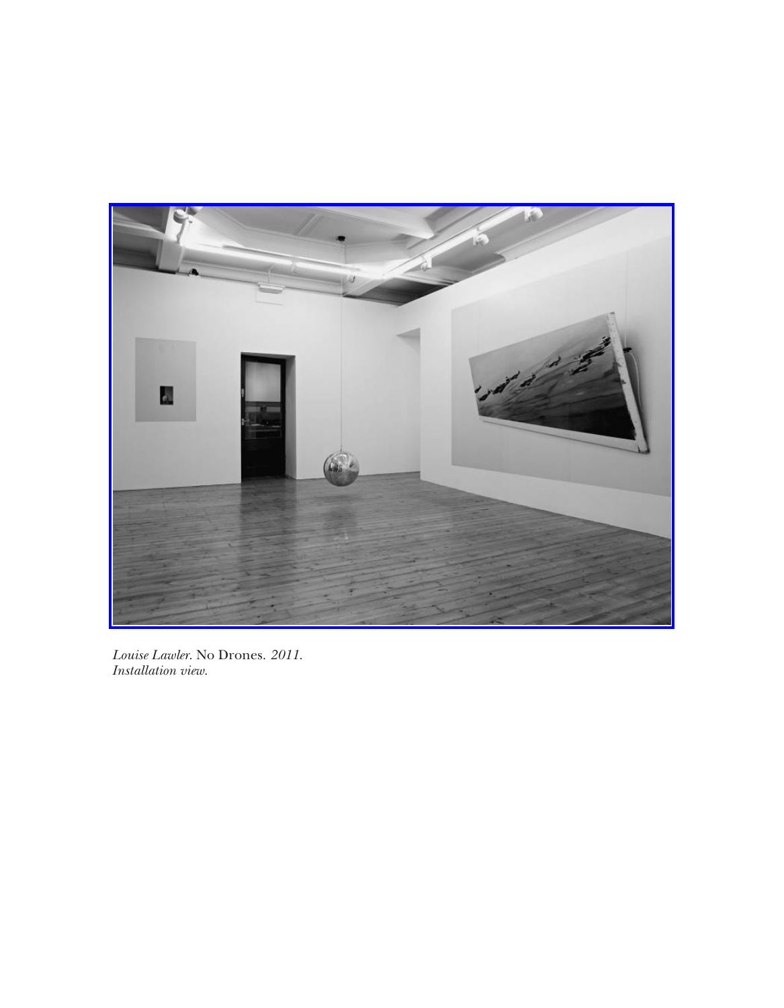

*Louise Lawler.* No Drones. *2011. Installation view.*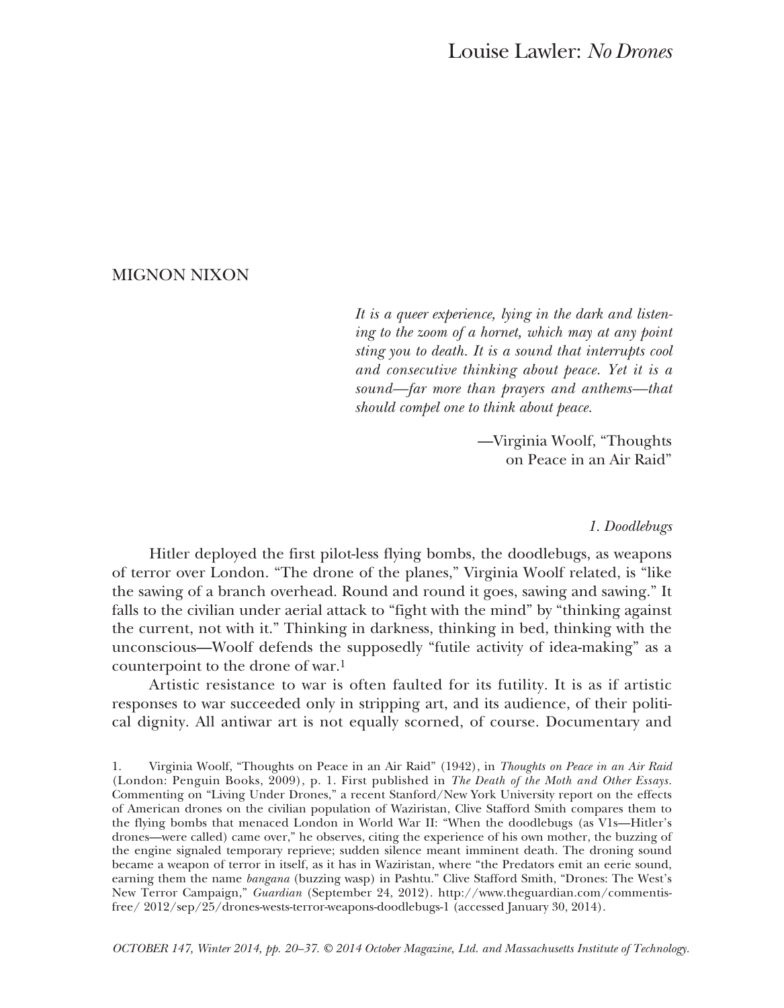## MIGNON NIXON

*It is a queer experience, lying in the dark and listening to the zoom of a hornet, which may at any point sting you to death. It is a sound that interrupts cool and consecutive thinking about peace. Yet it is a sound—far more than prayers and anthems—that should compel one to think about peace.*

> —Virginia Woolf, "Thoughts on Peace in an Air Raid"

> > *1. Doodlebugs*

Hitler deployed the first pilot-less flying bombs, the doodlebugs, as weapons of terror over London. "The drone of the planes," Virginia Woolf related, is "like the sawing of a branch overhead. Round and round it goes, sawing and sawing." It falls to the civilian under aerial attack to "fight with the mind" by "thinking against the current, not with it." Thinking in darkness, thinking in bed, thinking with the unconscious—Woolf defends the supposedly "futile activity of idea-making" as a counterpoint to the drone of war.1

Artistic resistance to war is often faulted for its futility. It is as if artistic responses to war succeeded only in stripping art, and its audience, of their political dignity. All antiwar art is not equally scorned, of course. Documentary and

1. Virginia Woolf, "Thoughts on Peace in an Air Raid" (1942), in *Thoughts on Peace in an Air Raid* (London: Penguin Books, 2009), p. 1. First published in *The Death of the Moth and Other Essays.* Commenting on "Living Under Drones," a recent Stanford/New York University report on the effects of American drones on the civilian population of Waziristan, Clive Stafford Smith compares them to the flying bombs that menaced London in World War II: "When the doodlebugs (as V1s—Hitler's drones—were called) came over," he observes, citing the experience of his own mother, the buzzing of the engine signaled temporary reprieve; sudden silence meant imminent death. The droning sound became a weapon of terror in itself, as it has in Waziristan, where "the Predators emit an eerie sound, earning them the name *bangana* (buzzing wasp) in Pashtu." Clive Stafford Smith, "Drones: The West's New Terror Campaign," *Guardian* (September 24, 2012). http://www.theguardian.com/commentisfree/ 2012/sep/25/drones-wests-terror-weapons-doodlebugs-1 (accessed January 30, 2014).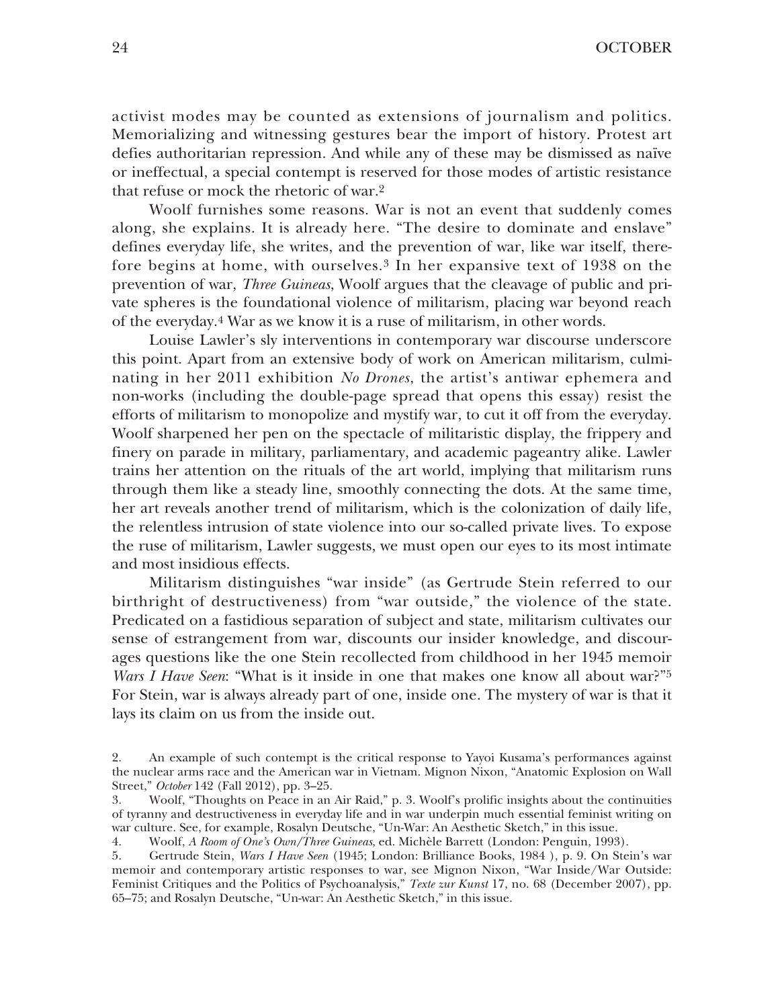24 OCTOBER

activist modes may be counted as extensions of journalism and politics. Memorializing and witnessing gestures bear the import of history. Protest art defies authoritarian repression. And while any of these may be dismissed as naïve or ineffectual, a special contempt is reserved for those modes of artistic resistance that refuse or mock the rhetoric of war.2

Woolf furnishes some reasons. War is not an event that suddenly comes along, she explains. It is already here. "The desire to dominate and enslave" defines everyday life, she writes, and the prevention of war, like war itself, therefore begins at home, with ourselves.3 In her expansive text of 1938 on the prevention of war, *Three Guineas*, Woolf argues that the cleavage of public and private spheres is the foundational violence of militarism, placing war beyond reach of the everyday.4 War as we know it is a ruse of militarism, in other words.

Louise Lawler's sly interventions in contemporary war discourse underscore this point. Apart from an extensive body of work on American militarism, culminating in her 2011 exhibition *No Drones*, the artist's antiwar ephemera and non-works (including the double-page spread that opens this essay) resist the efforts of militarism to monopolize and mystify war, to cut it off from the everyday. Woolf sharpened her pen on the spectacle of militaristic display, the frippery and finery on parade in military, parliamentary, and academic pageantry alike. Lawler trains her attention on the rituals of the art world, implying that militarism runs through them like a steady line, smoothly connecting the dots. At the same time, her art reveals another trend of militarism, which is the colonization of daily life, the relentless intrusion of state violence into our so-called private lives. To expose the ruse of militarism, Lawler suggests, we must open our eyes to its most intimate and most insidious effects.

Militarism distinguishes "war inside" (as Gertrude Stein referred to our birthright of destructiveness) from "war outside," the violence of the state. Predicated on a fastidious separation of subject and state, militarism cultivates our sense of estrangement from war, discounts our insider knowledge, and discourages questions like the one Stein recollected from childhood in her 1945 memoir *Wars I Have Seen*: "What is it inside in one that makes one know all about war?"5 For Stein, war is always already part of one, inside one. The mystery of war is that it lays its claim on us from the inside out.

<sup>2.</sup> An example of such contempt is the critical response to Yayoi Kusama's performances against the nuclear arms race and the American war in Vietnam. Mignon Nixon, "Anatomic Explosion on Wall Street," *October* 142 (Fall 2012), pp. 3–25.

<sup>3.</sup> Woolf, "Thoughts on Peace in an Air Raid," p. 3. Woolf's prolific insights about the continuities of tyranny and destructiveness in everyday life and in war underpin much essential feminist writing on war culture. See, for example, Rosalyn Deutsche, "Un-War: An Aesthetic Sketch," in this issue.

<sup>4.</sup> Woolf, *A Room of One's Own/Three Guineas*, ed. Michèle Barrett (London: Penguin, 1993).

<sup>5.</sup> Gertrude Stein, *Wars I Have Seen* (1945; London: Brilliance Books, 1984 ), p. 9. On Stein's war memoir and contemporary artistic responses to war, see Mignon Nixon, "War Inside/War Outside: Feminist Critiques and the Politics of Psychoanalysis," *Texte zur Kunst* 17, no. 68 (December 2007), pp. 65–75; and Rosalyn Deutsche, "Un-war: An Aesthetic Sketch," in this issue.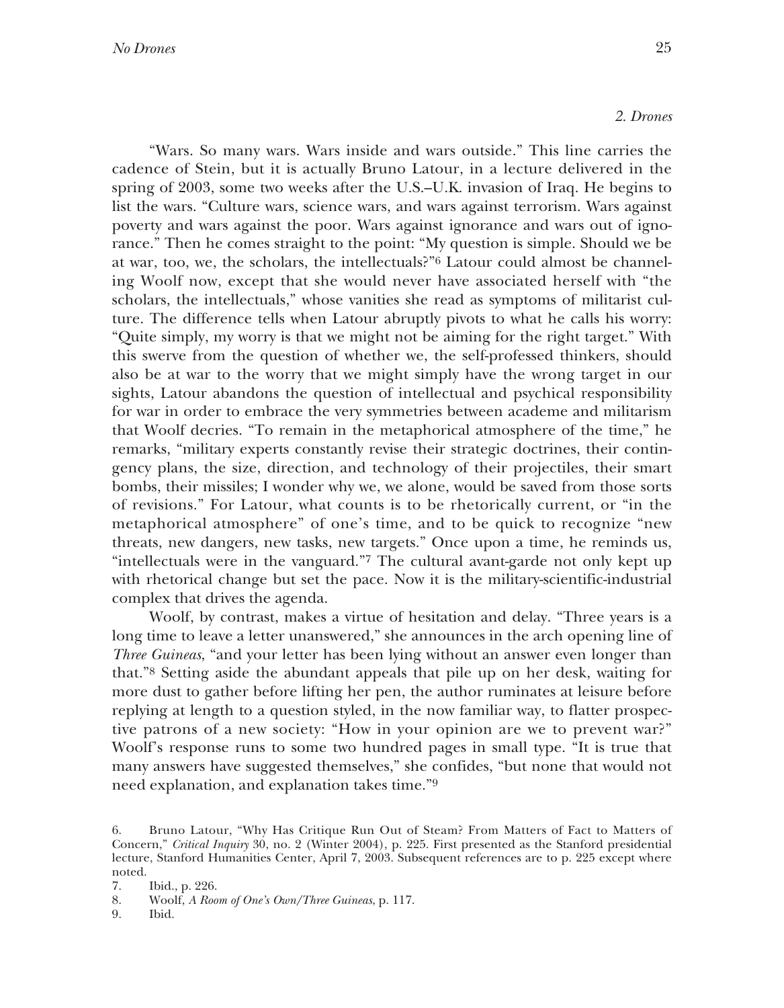"Wars. So many wars. Wars inside and wars outside." This line carries the cadence of Stein, but it is actually Bruno Latour, in a lecture delivered in the spring of 2003, some two weeks after the U.S.–U.K. invasion of Iraq. He begins to list the wars. "Culture wars, science wars, and wars against terrorism. Wars against poverty and wars against the poor. Wars against ignorance and wars out of ignorance." Then he comes straight to the point: "My question is simple. Should we be at war, too, we, the scholars, the intellectuals?"6 Latour could almost be channeling Woolf now, except that she would never have associated herself with "the scholars, the intellectuals," whose vanities she read as symptoms of militarist culture. The difference tells when Latour abruptly pivots to what he calls his worry: "Quite simply, my worry is that we might not be aiming for the right target." With this swerve from the question of whether we, the self-professed thinkers, should also be at war to the worry that we might simply have the wrong target in our sights, Latour abandons the question of intellectual and psychical responsibility for war in order to embrace the very symmetries between academe and militarism that Woolf decries. "To remain in the metaphorical atmosphere of the time," he remarks, "military experts constantly revise their strategic doctrines, their contingency plans, the size, direction, and technology of their projectiles, their smart bombs, their missiles; I wonder why we, we alone, would be saved from those sorts of revisions." For Latour, what counts is to be rhetorically current, or "in the metaphorical atmosphere" of one's time, and to be quick to recognize "new threats, new dangers, new tasks, new targets." Once upon a time, he reminds us, "intellectuals were in the vanguard."7 The cultural avant-garde not only kept up with rhetorical change but set the pace. Now it is the military-scientific-industrial complex that drives the agenda.

Woolf, by contrast, makes a virtue of hesitation and delay. "Three years is a long time to leave a letter unanswered," she announces in the arch opening line of *Three Guineas*, "and your letter has been lying without an answer even longer than that."8 Setting aside the abundant appeals that pile up on her desk, waiting for more dust to gather before lifting her pen, the author ruminates at leisure before replying at length to a question styled, in the now familiar way, to flatter prospective patrons of a new society: "How in your opinion are we to prevent war?" Woolf's response runs to some two hundred pages in small type. "It is true that many answers have suggested themselves," she confides, "but none that would not need explanation, and explanation takes time."9

<sup>6.</sup> Bruno Latour, "Why Has Critique Run Out of Steam? From Matters of Fact to Matters of Concern," *Critical Inquiry* 30, no. 2 (Winter 2004), p. 225. First presented as the Stanford presidential lecture, Stanford Humanities Center, April 7, 2003. Subsequent references are to p. 225 except where noted.

<sup>7.</sup> Ibid., p. 226.

<sup>8.</sup> Woolf, *A Room of One's Own/Three Guineas*, p. 117.

<sup>9.</sup> Ibid.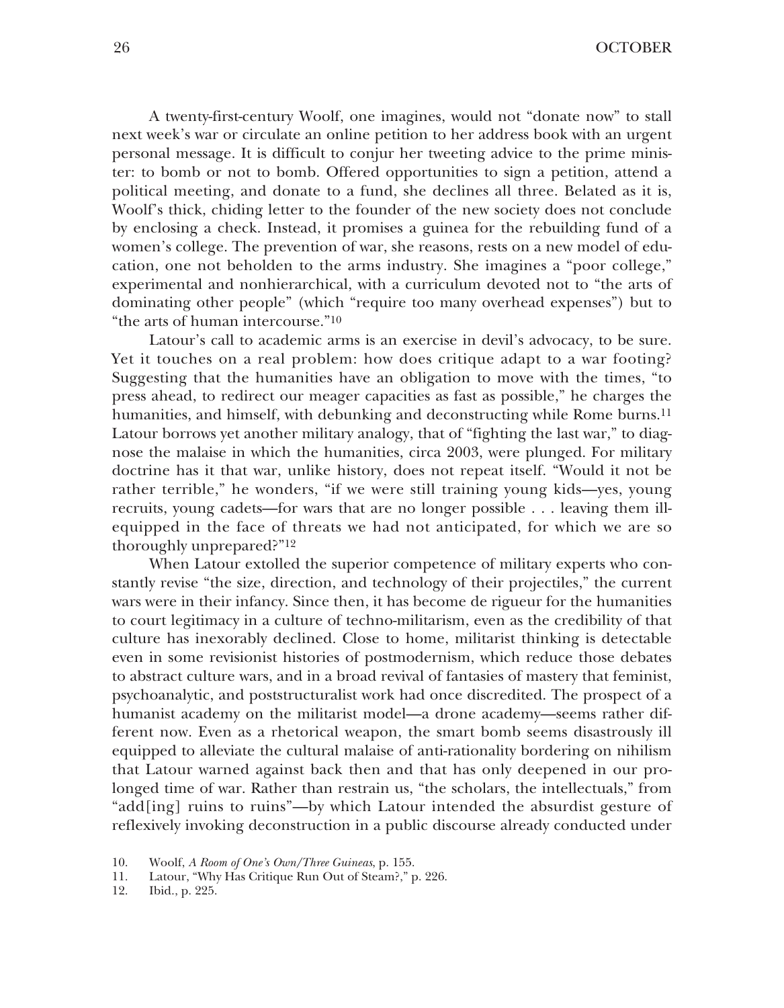26 OCTOBER

A twenty-first-century Woolf, one imagines, would not "donate now" to stall next week's war or circulate an online petition to her address book with an urgent personal message. It is difficult to conjur her tweeting advice to the prime minister: to bomb or not to bomb. Offered opportunities to sign a petition, attend a political meeting, and donate to a fund, she declines all three. Belated as it is, Woolf's thick, chiding letter to the founder of the new society does not conclude by enclosing a check. Instead, it promises a guinea for the rebuilding fund of a women's college. The prevention of war, she reasons, rests on a new model of education, one not beholden to the arms industry. She imagines a "poor college," experimental and nonhierarchical, with a curriculum devoted not to "the arts of dominating other people" (which "require too many overhead expenses") but to "the arts of human intercourse."10

Latour's call to academic arms is an exercise in devil's advocacy, to be sure. Yet it touches on a real problem: how does critique adapt to a war footing? Suggesting that the humanities have an obligation to move with the times, "to press ahead, to redirect our meager capacities as fast as possible," he charges the humanities, and himself, with debunking and deconstructing while Rome burns.<sup>11</sup> Latour borrows yet another military analogy, that of "fighting the last war," to diagnose the malaise in which the humanities, circa 2003, were plunged. For military doctrine has it that war, unlike history, does not repeat itself. "Would it not be rather terrible," he wonders, "if we were still training young kids—yes, young recruits, young cadets—for wars that are no longer possible . . . leaving them illequipped in the face of threats we had not anticipated, for which we are so thoroughly unprepared?"12

When Latour extolled the superior competence of military experts who constantly revise "the size, direction, and technology of their projectiles," the current wars were in their infancy. Since then, it has become de rigueur for the humanities to court legitimacy in a culture of techno-militarism, even as the credibility of that culture has inexorably declined. Close to home, militarist thinking is detectable even in some revisionist histories of postmodernism, which reduce those debates to abstract culture wars, and in a broad revival of fantasies of mastery that feminist, psychoanalytic, and poststructuralist work had once discredited. The prospect of a humanist academy on the militarist model—a drone academy—seems rather different now. Even as a rhetorical weapon, the smart bomb seems disastrously ill equipped to alleviate the cultural malaise of anti-rationality bordering on nihilism that Latour warned against back then and that has only deepened in our prolonged time of war. Rather than restrain us, "the scholars, the intellectuals," from "add[ing] ruins to ruins"—by which Latour intended the absurdist gesture of reflexively invoking deconstruction in a public discourse already conducted under

12. Ibid., p. 225.

<sup>10.</sup> Woolf, *A Room of One's Own/Three Guineas*, p. 155.

<sup>11.</sup> Latour, "Why Has Critique Run Out of Steam?," p. 226.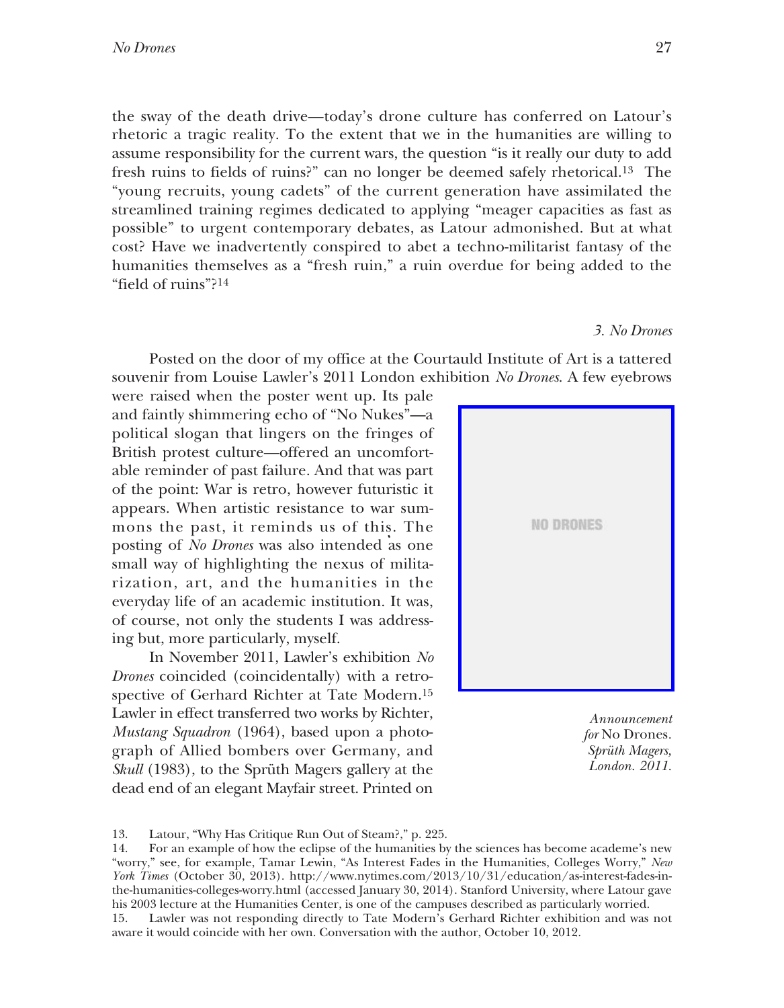the sway of the death drive—today's drone culture has conferred on Latour's rhetoric a tragic reality. To the extent that we in the humanities are willing to assume responsibility for the current wars, the question "is it really our duty to add fresh ruins to fields of ruins?" can no longer be deemed safely rhetorical.13 The "young recruits, young cadets" of the current generation have assimilated the streamlined training regimes dedicated to applying "meager capacities as fast as possible" to urgent contemporary debates, as Latour admonished. But at what cost? Have we inadvertently conspired to abet a techno-militarist fantasy of the humanities themselves as a "fresh ruin," a ruin overdue for being added to the "field of ruins"?14

## *3. No Drones*

Posted on the door of my office at the Courtauld Institute of Art is a tattered souvenir from Louise Lawler's 2011 London exhibition *No Drones*. A few eyebrows

were raised when the poster went up. Its pale and faintly shimmering echo of "No Nukes"—a political slogan that lingers on the fringes of British protest culture—offered an uncomfortable reminder of past failure. And that was part of the point: War is retro, however futuristic it appears. When artistic resistance to war summons the past, it reminds us of this. The posting of *No Drones* was also intended as one small way of highlighting the nexus of militarization, art, and the humanities in the everyday life of an academic institution. It was, of course, not only the students I was addressing but, more particularly, myself.

In November 2011, Lawler's exhibition *No Drones* coincided (coincidentally) with a retrospective of Gerhard Richter at Tate Modern.15 Lawler in effect transferred two works by Richter, *Mustang Squadron* (1964), based upon a photograph of Allied bombers over Germany, and *Skull* (1983), to the Sprüth Magers gallery at the dead end of an elegant Mayfair street. Printed on



*Announcement for* No Drones*. Sprüth Magers, London. 2011.*

<sup>13.</sup> Latour, "Why Has Critique Run Out of Steam?," p. 225.<br>14. For an example of how the eclipse of the humanities by

<sup>14.</sup> For an example of how the eclipse of the humanities by the sciences has become academe's new "worry," see, for example, Tamar Lewin, "As Interest Fades in the Humanities, Colleges Worry," *New York Times* (October 30, 2013). http://www.nytimes.com/2013/10/31/education/as-interest-fades-inthe-humanities-colleges-worry.html (accessed January 30, 2014). Stanford University, where Latour gave his 2003 lecture at the Humanities Center, is one of the campuses described as particularly worried. Lawler was not responding directly to Tate Modern's Gerhard Richter exhibition and was not

aware it would coincide with her own. Conversation with the author, October 10, 2012.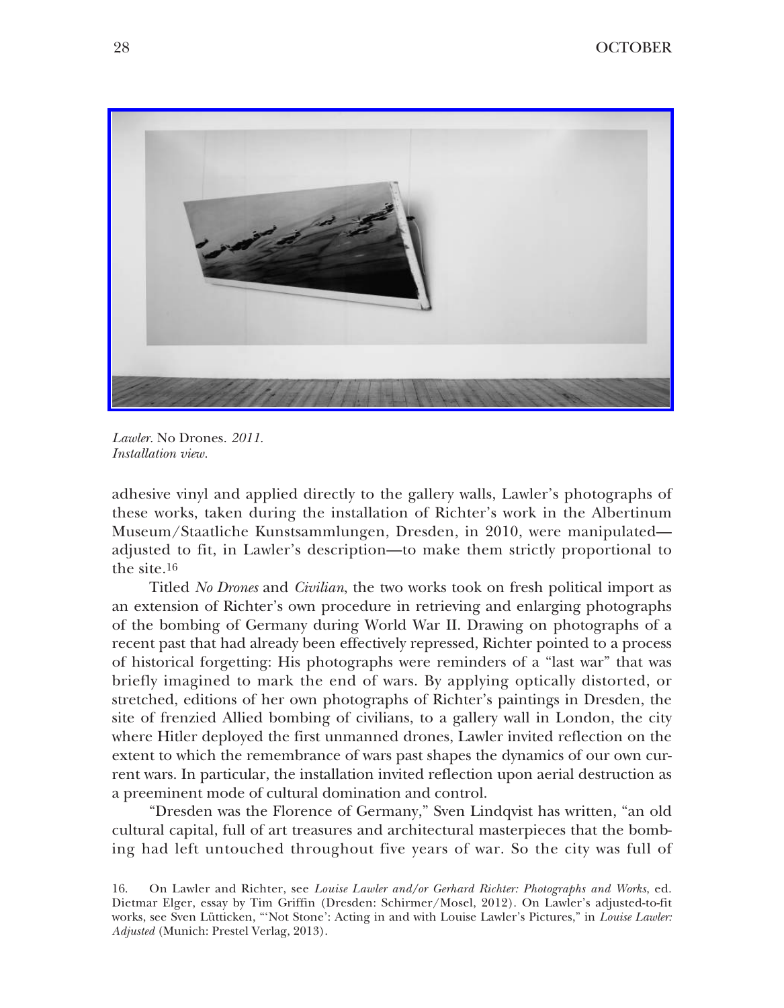

*Lawler.* No Drones. *2011. Installation view.*

adhesive vinyl and applied directly to the gallery walls, Lawler's photographs of these works, taken during the installation of Richter's work in the Albertinum Museum/Staatliche Kunstsammlungen, Dresden, in 2010, were manipulated adjusted to fit, in Lawler's description—to make them strictly proportional to the site.16

Titled *No Drones* and *Civilian*, the two works took on fresh political import as an extension of Richter's own procedure in retrieving and enlarging photographs of the bombing of Germany during World War II. Drawing on photographs of a recent past that had already been effectively repressed, Richter pointed to a process of historical forgetting: His photographs were reminders of a "last war" that was briefly imagined to mark the end of wars. By applying optically distorted, or stretched, editions of her own photographs of Richter's paintings in Dresden, the site of frenzied Allied bombing of civilians, to a gallery wall in London, the city where Hitler deployed the first unmanned drones, Lawler invited reflection on the extent to which the remembrance of wars past shapes the dynamics of our own current wars. In particular, the installation invited reflection upon aerial destruction as a preeminent mode of cultural domination and control.

"Dresden was the Florence of Germany," Sven Lindqvist has written, "an old cultural capital, full of art treasures and architectural masterpieces that the bombing had left untouched throughout five years of war. So the city was full of

<sup>16.</sup> On Lawler and Richter, see *Louise Lawler and/or Gerhard Richter: Photographs and Works*, ed. Dietmar Elger, essay by Tim Griffin (Dresden: Schirmer/Mosel, 2012). On Lawler's adjusted-to-fit works, see Sven Lütticken, "'Not Stone': Acting in and with Louise Lawler's Pictures," in *Louise Lawler: Adjusted* (Munich: Prestel Verlag, 2013).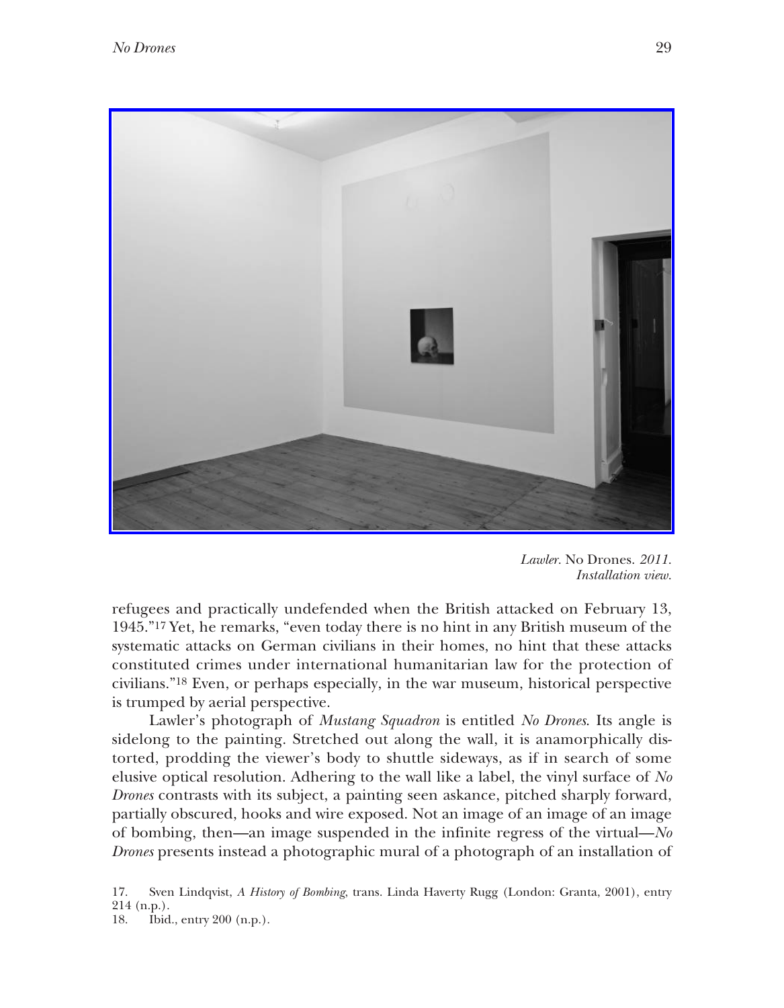

*Lawler.* No Drones. *2011. Installation view.*

refugees and practically undefended when the British attacked on February 13, 1945."17 Yet, he remarks, "even today there is no hint in any British museum of the systematic attacks on German civilians in their homes, no hint that these attacks constituted crimes under international humanitarian law for the protection of civilians."18 Even, or perhaps especially, in the war museum, historical perspective is trumped by aerial perspective.

Lawler's photograph of *Mustang Squadron* is entitled *No Drones*. Its angle is sidelong to the painting. Stretched out along the wall, it is anamorphically distorted, prodding the viewer's body to shuttle sideways, as if in search of some elusive optical resolution. Adhering to the wall like a label, the vinyl surface of *No Drones* contrasts with its subject, a painting seen askance, pitched sharply forward, partially obscured, hooks and wire exposed. Not an image of an image of an image of bombing, then—an image suspended in the infinite regress of the virtual—*No Drones* presents instead a photographic mural of a photograph of an installation of

17. Sven Lindqvist, *A History of Bombing*, trans. Linda Haverty Rugg (London: Granta, 2001), entry 214 (n.p.).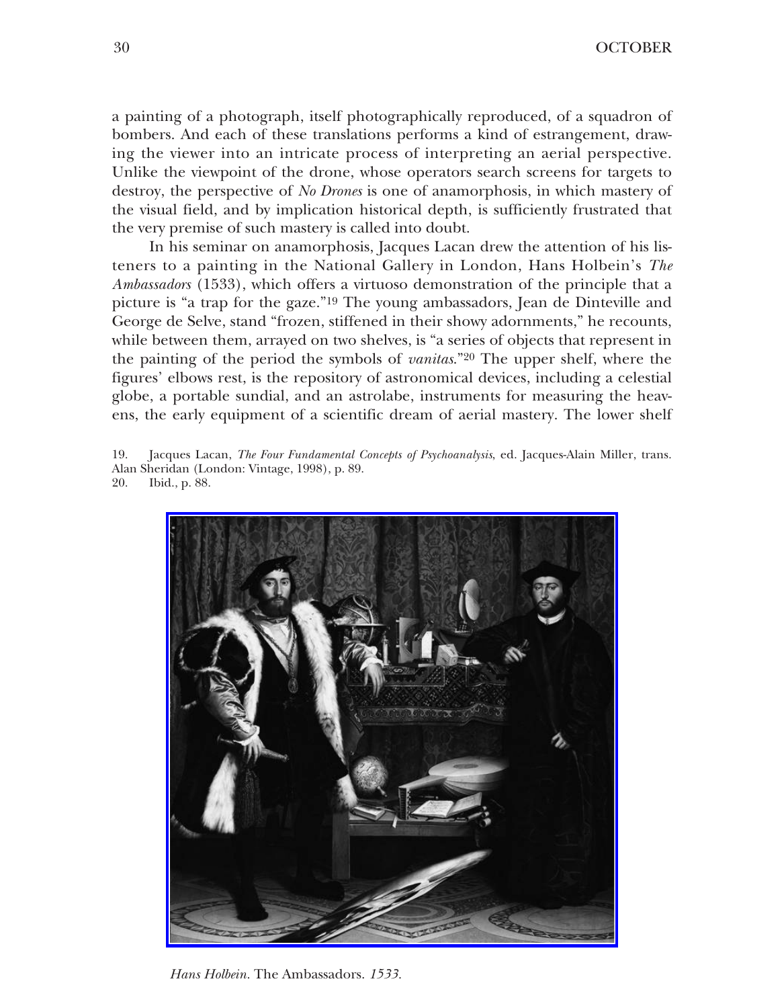a painting of a photograph, itself photographically reproduced, of a squadron of bombers. And each of these translations performs a kind of estrangement, drawing the viewer into an intricate process of interpreting an aerial perspective. Unlike the viewpoint of the drone, whose operators search screens for targets to destroy, the perspective of *No Drones* is one of anamorphosis, in which mastery of the visual field, and by implication historical depth, is sufficiently frustrated that the very premise of such mastery is called into doubt.

In his seminar on anamorphosis, Jacques Lacan drew the attention of his listeners to a painting in the National Gallery in London, Hans Holbein's *The Ambassadors* (1533), which offers a virtuoso demonstration of the principle that a picture is "a trap for the gaze."19 The young ambassadors, Jean de Dinteville and George de Selve, stand "frozen, stiffened in their showy adornments," he recounts, while between them, arrayed on two shelves, is "a series of objects that represent in the painting of the period the symbols of *vanitas*."20 The upper shelf, where the figures' elbows rest, is the repository of astronomical devices, including a celestial globe, a portable sundial, and an astrolabe, instruments for measuring the heavens, the early equipment of a scientific dream of aerial mastery. The lower shelf

19. Jacques Lacan, *The Four Fundamental Concepts of Psychoanalysis*, ed. Jacques-Alain Miller, trans. Alan Sheridan (London: Vintage, 1998), p. 89. 20. Ibid., p. 88.



*Hans Holbein.* The Ambassadors. *1533.*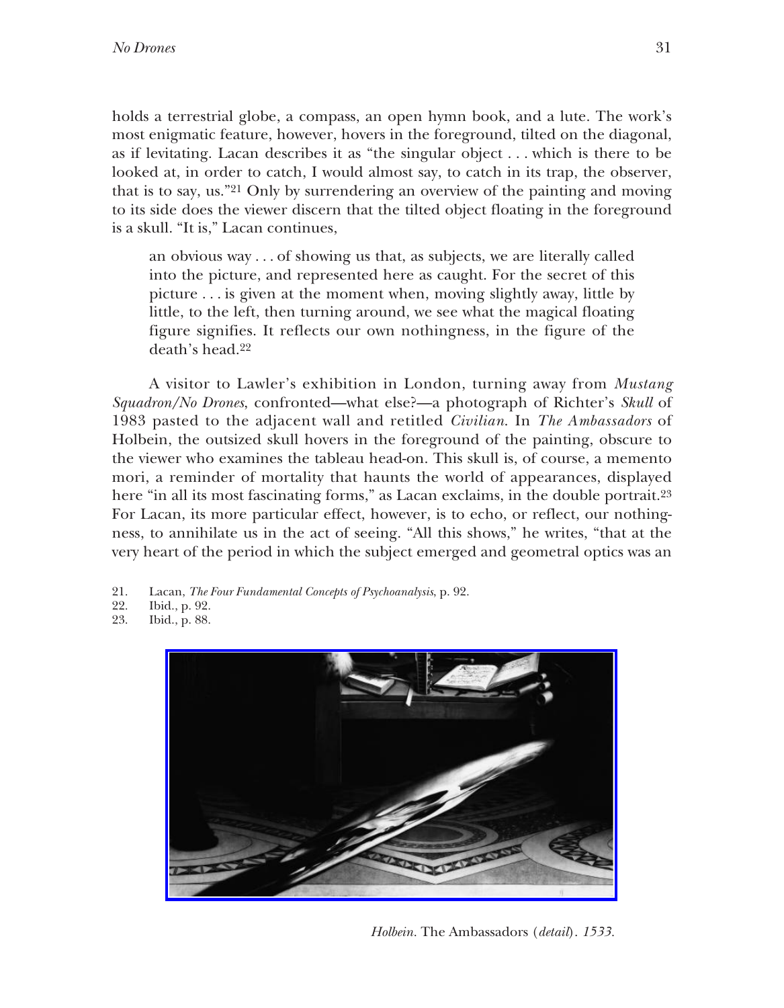holds a terrestrial globe, a compass, an open hymn book, and a lute. The work's most enigmatic feature, however, hovers in the foreground, tilted on the diagonal, as if levitating. Lacan describes it as "the singular object . . . which is there to be looked at, in order to catch, I would almost say, to catch in its trap, the observer, that is to say, us."21 Only by surrendering an overview of the painting and moving to its side does the viewer discern that the tilted object floating in the foreground is a skull. "It is," Lacan continues,

an obvious way . . . of showing us that, as subjects, we are literally called into the picture, and represented here as caught. For the secret of this picture . . . is given at the moment when, moving slightly away, little by little, to the left, then turning around, we see what the magical floating figure signifies. It reflects our own nothingness, in the figure of the death's head.22

A visitor to Lawler's exhibition in London, turning away from *Mustang Squadron/No Drones*, confronted—what else?—a photograph of Richter's *Skull* of 1983 pasted to the adjacent wall and retitled *Civilian*. In *The Ambassadors* of Holbein, the outsized skull hovers in the foreground of the painting, obscure to the viewer who examines the tableau head-on. This skull is, of course, a memento mori, a reminder of mortality that haunts the world of appearances, displayed here "in all its most fascinating forms," as Lacan exclaims, in the double portrait.<sup>23</sup> For Lacan, its more particular effect, however, is to echo, or reflect, our nothingness, to annihilate us in the act of seeing. "All this shows," he writes, "that at the very heart of the period in which the subject emerged and geometral optics was an

- 22. Ibid., p. 92.
- 23. Ibid., p. 88.



*Holbein.* The Ambassadors (*detail*). *1533.*

<sup>21.</sup> Lacan, *The Four Fundamental Concepts of Psychoanalysis*, p. 92.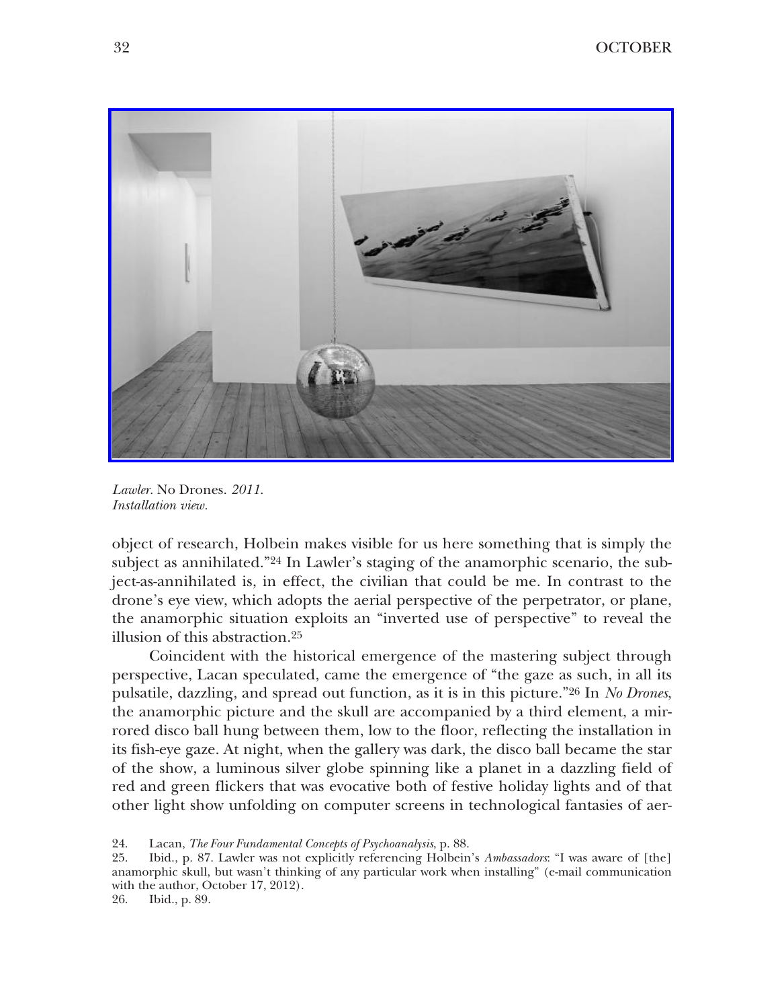

*Lawler.* No Drones. *2011. Installation view.*

object of research, Holbein makes visible for us here something that is simply the subject as annihilated."24 In Lawler's staging of the anamorphic scenario, the subject-as-annihilated is, in effect, the civilian that could be me. In contrast to the drone's eye view, which adopts the aerial perspective of the perpetrator, or plane, the anamorphic situation exploits an "inverted use of perspective" to reveal the illusion of this abstraction.25

Coincident with the historical emergence of the mastering subject through perspective, Lacan speculated, came the emergence of "the gaze as such, in all its pulsatile, dazzling, and spread out function, as it is in this picture."26 In *No Drones*, the anamorphic picture and the skull are accompanied by a third element, a mirrored disco ball hung between them, low to the floor, reflecting the installation in its fish-eye gaze. At night, when the gallery was dark, the disco ball became the star of the show, a luminous silver globe spinning like a planet in a dazzling field of red and green flickers that was evocative both of festive holiday lights and of that other light show unfolding on computer screens in technological fantasies of aer-

24. Lacan, *The Four Fundamental Concepts of Psychoanalysis*, p. 88.

25. Ibid., p. 87. Lawler was not explicitly referencing Holbein's *Ambassadors*: "I was aware of [the] anamorphic skull, but wasn't thinking of any particular work when installing" (e-mail communication with the author, October 17, 2012).

26. Ibid., p. 89.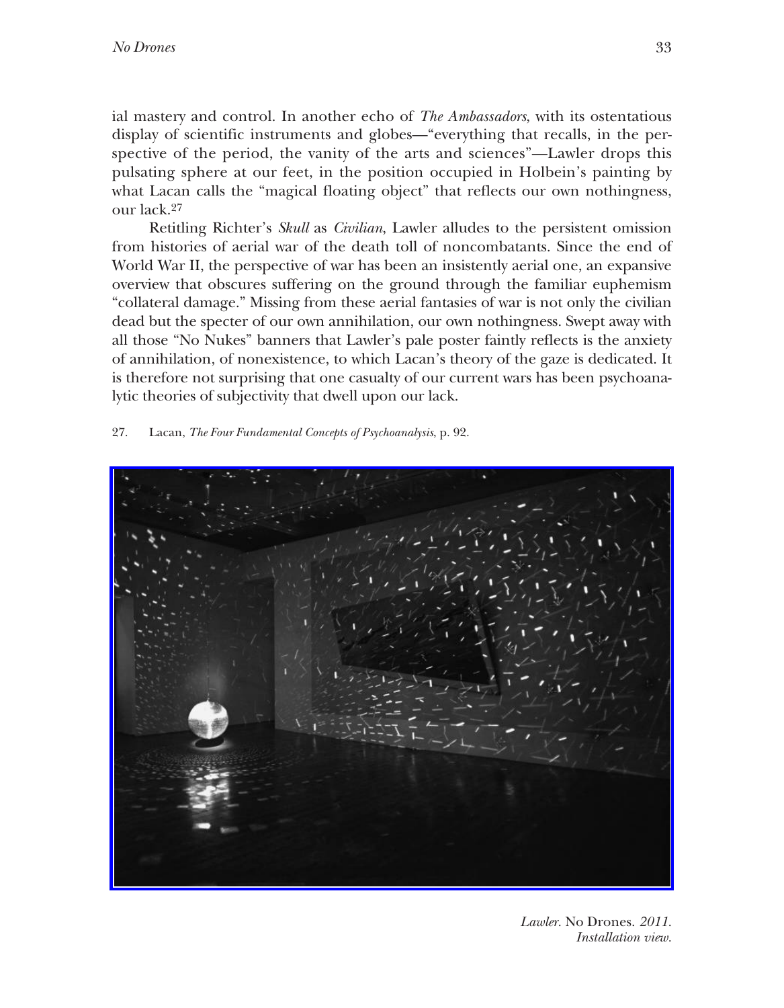ial mastery and control. In another echo of *The Ambassadors*, with its ostentatious display of scientific instruments and globes—"everything that recalls, in the perspective of the period, the vanity of the arts and sciences"—Lawler drops this pulsating sphere at our feet, in the position occupied in Holbein's painting by what Lacan calls the "magical floating object" that reflects our own nothingness, our lack.27

Retitling Richter's *Skull* as *Civilian*, Lawler alludes to the persistent omission from histories of aerial war of the death toll of noncombatants. Since the end of World War II, the perspective of war has been an insistently aerial one, an expansive overview that obscures suffering on the ground through the familiar euphemism "collateral damage." Missing from these aerial fantasies of war is not only the civilian dead but the specter of our own annihilation, our own nothingness. Swept away with all those "No Nukes" banners that Lawler's pale poster faintly reflects is the anxiety of annihilation, of nonexistence, to which Lacan's theory of the gaze is dedicated. It is therefore not surprising that one casualty of our current wars has been psychoanalytic theories of subjectivity that dwell upon our lack.

27. Lacan, *The Four Fundamental Concepts of Psychoanalysis*, p. 92.



*Lawler.* No Drones. *2011. Installation view.*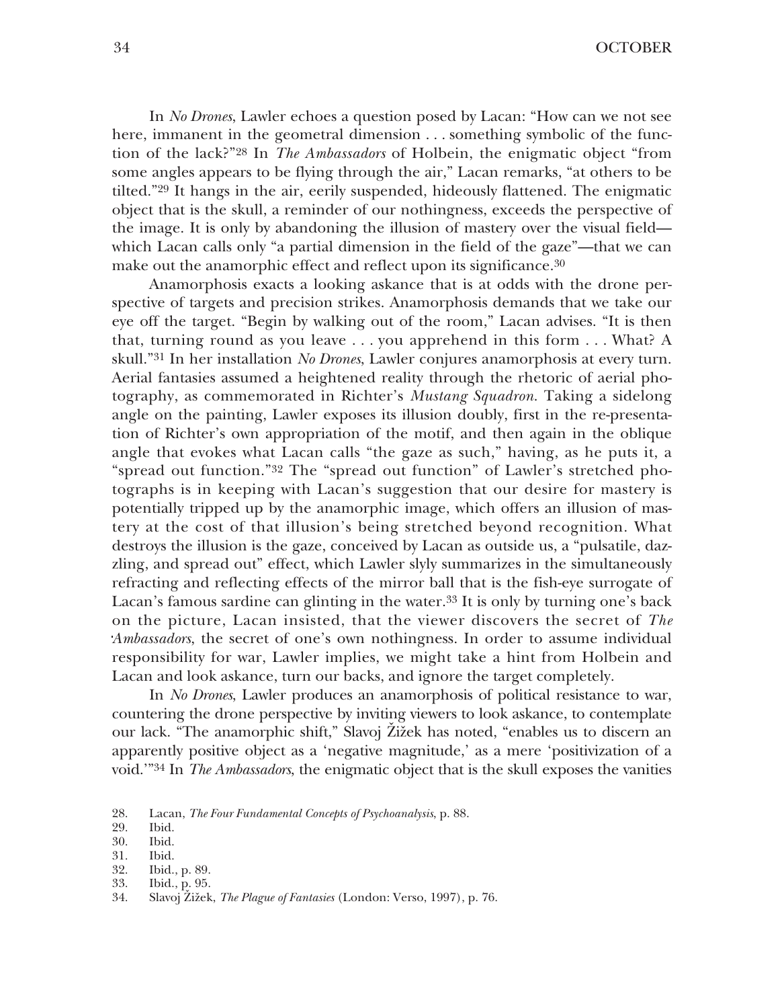34 OCTOBER

In *No Drones*, Lawler echoes a question posed by Lacan: "How can we not see here, immanent in the geometral dimension . . . something symbolic of the function of the lack?"28 In *The Ambassadors* of Holbein, the enigmatic object "from some angles appears to be flying through the air," Lacan remarks, "at others to be tilted."29 It hangs in the air, eerily suspended, hideously flattened. The enigmatic object that is the skull, a reminder of our nothingness, exceeds the perspective of the image. It is only by abandoning the illusion of mastery over the visual field which Lacan calls only "a partial dimension in the field of the gaze"—that we can make out the anamorphic effect and reflect upon its significance.<sup>30</sup>

Anamorphosis exacts a looking askance that is at odds with the drone perspective of targets and precision strikes. Anamorphosis demands that we take our eye off the target. "Begin by walking out of the room," Lacan advises. "It is then that, turning round as you leave . . . you apprehend in this form . . . What? A skull."31 In her installation *No Drones*, Lawler conjures anamorphosis at every turn. Aerial fantasies assumed a heightened reality through the rhetoric of aerial photography, as commemorated in Richter's *Mustang Squadron*. Taking a sidelong angle on the painting, Lawler exposes its illusion doubly, first in the re-presentation of Richter's own appropriation of the motif, and then again in the oblique angle that evokes what Lacan calls "the gaze as such," having, as he puts it, a "spread out function."32 The "spread out function" of Lawler's stretched photographs is in keeping with Lacan's suggestion that our desire for mastery is potentially tripped up by the anamorphic image, which offers an illusion of mastery at the cost of that illusion's being stretched beyond recognition. What destroys the illusion is the gaze, conceived by Lacan as outside us, a "pulsatile, dazzling, and spread out" effect, which Lawler slyly summarizes in the simultaneously refracting and reflecting effects of the mirror ball that is the fish-eye surrogate of Lacan's famous sardine can glinting in the water.33 It is only by turning one's back on the picture, Lacan insisted, that the viewer discovers the secret of *The Ambassadors*, the secret of one's own nothingness. In order to assume individual responsibility for war, Lawler implies, we might take a hint from Holbein and Lacan and look askance, turn our backs, and ignore the target completely.

In *No Drones*, Lawler produces an anamorphosis of political resistance to war, countering the drone perspective by inviting viewers to look askance, to contemplate our lack. "The anamorphic shift," Slavoj Žižek has noted, "enables us to discern an apparently positive object as a 'negative magnitude,' as a mere 'positivization of a void.'"34 In *The Ambassadors*, the enigmatic object that is the skull exposes the vanities

33. Ibid., p. 95.

<sup>28.</sup> Lacan, *The Four Fundamental Concepts of Psychoanalysis*, p. 88.

Ibid.

<sup>30.</sup> Ibid.

<sup>31.</sup> Ibid.

<sup>32.</sup> Ibid., p. 89.

<sup>34.</sup> Slavoj Žižek, *The Plague of Fantasies* (London: Verso, 1997), p. 76.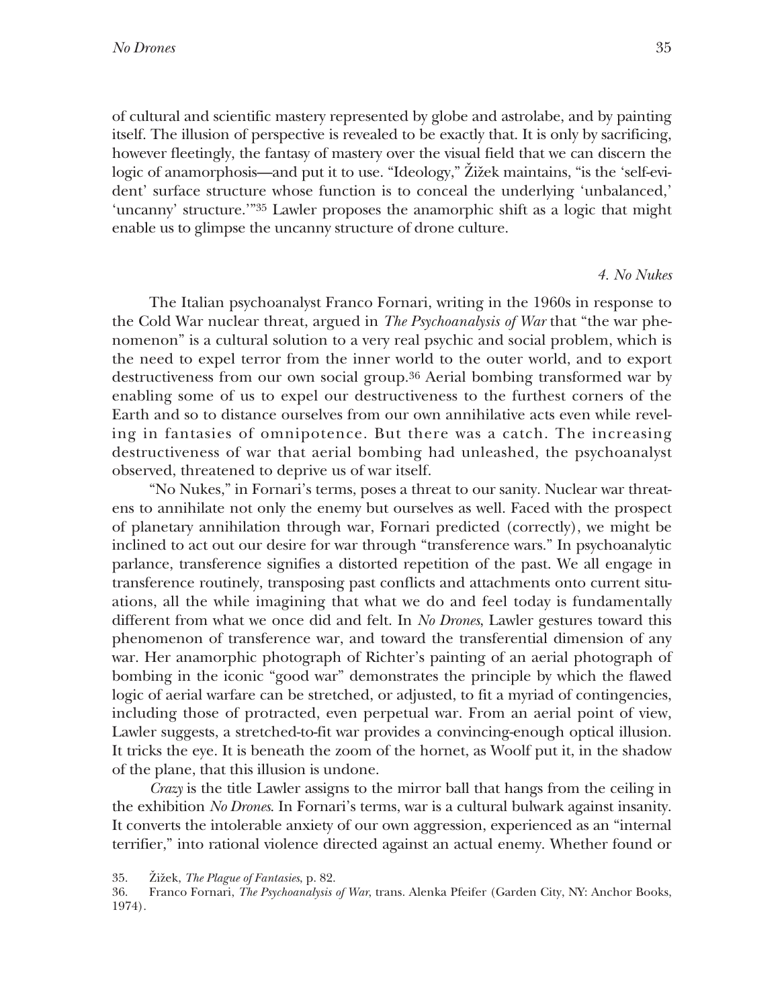of cultural and scientific mastery represented by globe and astrolabe, and by painting itself. The illusion of perspective is revealed to be exactly that. It is only by sacrificing, however fleetingly, the fantasy of mastery over the visual field that we can discern the logic of anamorphosis—and put it to use. "Ideology," Žižek maintains, "is the 'self-evident' surface structure whose function is to conceal the underlying 'unbalanced,' 'uncanny' structure.'"35 Lawler proposes the anamorphic shift as a logic that might enable us to glimpse the uncanny structure of drone culture.

## *4. No Nukes*

The Italian psychoanalyst Franco Fornari, writing in the 1960s in response to the Cold War nuclear threat, argued in *The Psychoanalysis of War* that "the war phenomenon" is a cultural solution to a very real psychic and social problem, which is the need to expel terror from the inner world to the outer world, and to export destructiveness from our own social group.36 Aerial bombing transformed war by enabling some of us to expel our destructiveness to the furthest corners of the Earth and so to distance ourselves from our own annihilative acts even while reveling in fantasies of omnipotence. But there was a catch. The increasing destructiveness of war that aerial bombing had unleashed, the psychoanalyst observed, threatened to deprive us of war itself.

"No Nukes," in Fornari's terms, poses a threat to our sanity. Nuclear war threatens to annihilate not only the enemy but ourselves as well. Faced with the prospect of planetary annihilation through war, Fornari predicted (correctly), we might be inclined to act out our desire for war through "transference wars." In psychoanalytic parlance, transference signifies a distorted repetition of the past. We all engage in transference routinely, transposing past conflicts and attachments onto current situations, all the while imagining that what we do and feel today is fundamentally different from what we once did and felt. In *No Drones*, Lawler gestures toward this phenomenon of transference war, and toward the transferential dimension of any war. Her anamorphic photograph of Richter's painting of an aerial photograph of bombing in the iconic "good war" demonstrates the principle by which the flawed logic of aerial warfare can be stretched, or adjusted, to fit a myriad of contingencies, including those of protracted, even perpetual war. From an aerial point of view, Lawler suggests, a stretched-to-fit war provides a convincing-enough optical illusion. It tricks the eye. It is beneath the zoom of the hornet, as Woolf put it, in the shadow of the plane, that this illusion is undone.

*Crazy* is the title Lawler assigns to the mirror ball that hangs from the ceiling in the exhibition *No Drones*. In Fornari's terms, war is a cultural bulwark against insanity. It converts the intolerable anxiety of our own aggression, experienced as an "internal terrifier," into rational violence directed against an actual enemy. Whether found or

35. Žižek, *The Plague of Fantasies*, p. 82.

<sup>36.</sup> Franco Fornari, *The Psychoanalysis of War*, trans. Alenka Pfeifer (Garden City, NY: Anchor Books, 1974).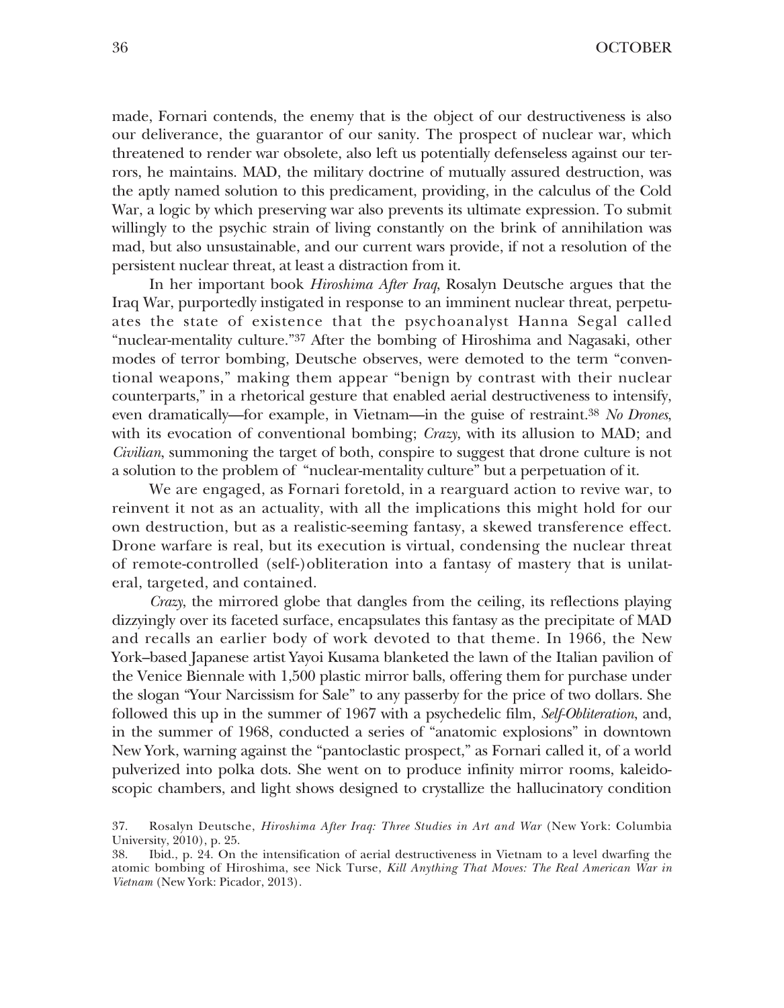made, Fornari contends, the enemy that is the object of our destructiveness is also our deliverance, the guarantor of our sanity. The prospect of nuclear war, which threatened to render war obsolete, also left us potentially defenseless against our terrors, he maintains. MAD, the military doctrine of mutually assured destruction, was the aptly named solution to this predicament, providing, in the calculus of the Cold War, a logic by which preserving war also prevents its ultimate expression. To submit willingly to the psychic strain of living constantly on the brink of annihilation was mad, but also unsustainable, and our current wars provide, if not a resolution of the persistent nuclear threat, at least a distraction from it.

In her important book *Hiroshima After Iraq*, Rosalyn Deutsche argues that the Iraq War, purportedly instigated in response to an imminent nuclear threat, perpetuates the state of existence that the psychoanalyst Hanna Segal called "nuclear-mentality culture."37 After the bombing of Hiroshima and Nagasaki, other modes of terror bombing, Deutsche observes, were demoted to the term "conventional weapons," making them appear "benign by contrast with their nuclear counterparts," in a rhetorical gesture that enabled aerial destructiveness to intensify, even dramatically—for example, in Vietnam—in the guise of restraint.38 *No Drones*, with its evocation of conventional bombing; *Crazy*, with its allusion to MAD; and *Civilian*, summoning the target of both, conspire to suggest that drone culture is not a solution to the problem of "nuclear-mentality culture" but a perpetuation of it.

We are engaged, as Fornari foretold, in a rearguard action to revive war, to reinvent it not as an actuality, with all the implications this might hold for our own destruction, but as a realistic-seeming fantasy, a skewed transference effect. Drone warfare is real, but its execution is virtual, condensing the nuclear threat of remote-controlled (self-)obliteration into a fantasy of mastery that is unilateral, targeted, and contained.

*Crazy*, the mirrored globe that dangles from the ceiling, its reflections playing dizzyingly over its faceted surface, encapsulates this fantasy as the precipitate of MAD and recalls an earlier body of work devoted to that theme. In 1966, the New York–based Japanese artist Yayoi Kusama blanketed the lawn of the Italian pavilion of the Venice Biennale with 1,500 plastic mirror balls, offering them for purchase under the slogan "Your Narcissism for Sale" to any passerby for the price of two dollars. She followed this up in the summer of 1967 with a psychedelic film, *Self-Obliteration*, and, in the summer of 1968, conducted a series of "anatomic explosions" in downtown New York, warning against the "pantoclastic prospect," as Fornari called it, of a world pulverized into polka dots. She went on to produce infinity mirror rooms, kaleidoscopic chambers, and light shows designed to crystallize the hallucinatory condition

<sup>37.</sup> Rosalyn Deutsche, *Hiroshima After Iraq: Three Studies in Art and War* (New York: Columbia University, 2010), p. 25.

<sup>38.</sup> Ibid., p. 24. On the intensification of aerial destructiveness in Vietnam to a level dwarfing the atomic bombing of Hiroshima, see Nick Turse, *Kill Anything That Moves: The Real American War in Vietnam* (New York: Picador, 2013).